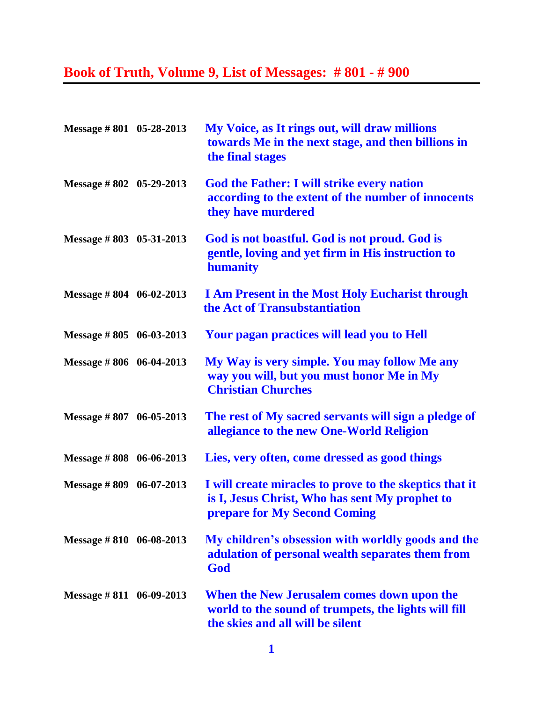## **Book of Truth, Volume 9, List of Messages: # 801 - # 900**

| Message #801 05-28-2013           | My Voice, as It rings out, will draw millions<br>towards Me in the next stage, and then billions in<br>the final stages                   |
|-----------------------------------|-------------------------------------------------------------------------------------------------------------------------------------------|
| Message #802 05-29-2013           | <b>God the Father: I will strike every nation</b><br>according to the extent of the number of innocents<br>they have murdered             |
| Message #803 05-31-2013           | God is not boastful. God is not proud. God is<br>gentle, loving and yet firm in His instruction to<br>humanity                            |
| Message $\# 804 \quad 06-02-2013$ | <b>I Am Present in the Most Holy Eucharist through</b><br>the Act of Transubstantiation                                                   |
| Message $\# 805 \quad 06-03-2013$ | Your pagan practices will lead you to Hell                                                                                                |
| Message #806 06-04-2013           | My Way is very simple. You may follow Me any<br>way you will, but you must honor Me in My<br><b>Christian Churches</b>                    |
| Message #807 06-05-2013           | The rest of My sacred servants will sign a pledge of<br>allegiance to the new One-World Religion                                          |
| Message $\# 808 \quad 06-06-2013$ | Lies, very often, come dressed as good things                                                                                             |
| Message $\# 809 \quad 06-07-2013$ | I will create miracles to prove to the skeptics that it<br>is I, Jesus Christ, Who has sent My prophet to<br>prepare for My Second Coming |
| Message $\# 810 \quad 06-08-2013$ | My children's obsession with worldly goods and the<br>adulation of personal wealth separates them from<br>God                             |
| Message $\# 811$ 06-09-2013       | When the New Jerusalem comes down upon the<br>world to the sound of trumpets, the lights will fill<br>the skies and all will be silent    |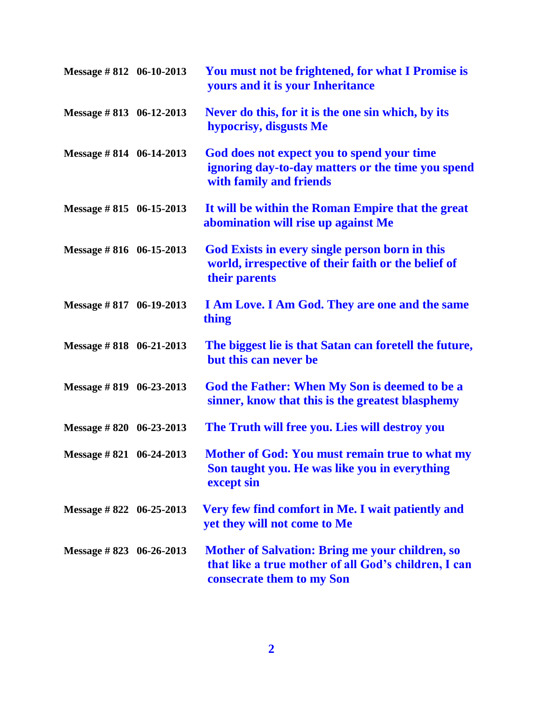| Message #812 06-10-2013           | You must not be frightened, for what I Promise is<br>yours and it is your Inheritance                                                       |
|-----------------------------------|---------------------------------------------------------------------------------------------------------------------------------------------|
| Message #813 06-12-2013           | Never do this, for it is the one sin which, by its<br>hypocrisy, disgusts Me                                                                |
| Message #814 06-14-2013           | God does not expect you to spend your time<br>ignoring day-to-day matters or the time you spend<br>with family and friends                  |
| Message #815 06-15-2013           | It will be within the Roman Empire that the great<br>abomination will rise up against Me                                                    |
| Message $\# 816 \quad 06-15-2013$ | God Exists in every single person born in this<br>world, irrespective of their faith or the belief of<br>their parents                      |
| Message #817 06-19-2013           | I Am Love. I Am God. They are one and the same<br>thing                                                                                     |
| Message #818 06-21-2013           | The biggest lie is that Satan can foretell the future,<br>but this can never be                                                             |
| Message #819 06-23-2013           | God the Father: When My Son is deemed to be a<br>sinner, know that this is the greatest blasphemy                                           |
| Message #820 06-23-2013           | The Truth will free you. Lies will destroy you                                                                                              |
| Message #821 06-24-2013           | <b>Mother of God: You must remain true to what my</b><br>Son taught you. He was like you in everything<br>except sin                        |
| Message #822 06-25-2013           | Very few find comfort in Me. I wait patiently and<br>yet they will not come to Me                                                           |
| Message #823 06-26-2013           | <b>Mother of Salvation: Bring me your children, so</b><br>that like a true mother of all God's children, I can<br>consecrate them to my Son |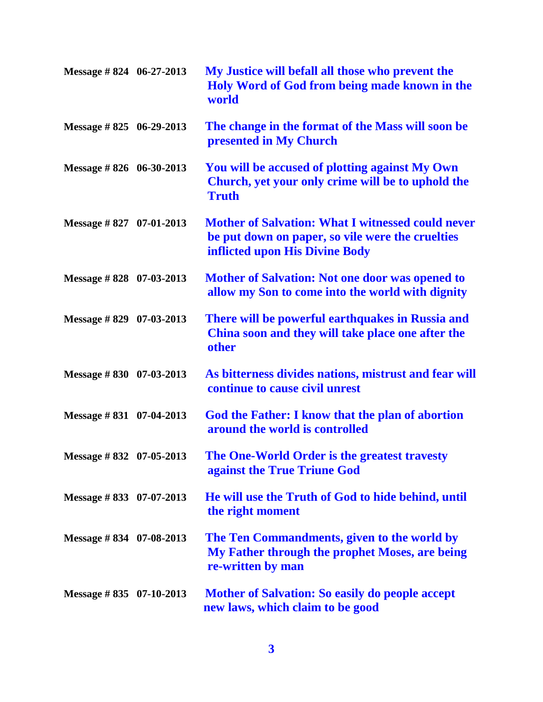| Message #824 06-27-2013           | My Justice will befall all those who prevent the<br>Holy Word of God from being made known in the<br>world                                     |
|-----------------------------------|------------------------------------------------------------------------------------------------------------------------------------------------|
| Message $\#$ 825 06-29-2013       | The change in the format of the Mass will soon be<br>presented in My Church                                                                    |
| Message #826 06-30-2013           | You will be accused of plotting against My Own<br>Church, yet your only crime will be to uphold the<br><b>Truth</b>                            |
| Message $\#$ 827 07-01-2013       | <b>Mother of Salvation: What I witnessed could never</b><br>be put down on paper, so vile were the cruelties<br>inflicted upon His Divine Body |
| Message #828 07-03-2013           | <b>Mother of Salvation: Not one door was opened to</b><br>allow my Son to come into the world with dignity                                     |
| Message $\#$ 829 07-03-2013       | There will be powerful earthquakes in Russia and<br>China soon and they will take place one after the<br>other                                 |
| Message $\# 830$ 07-03-2013       | As bitterness divides nations, mistrust and fear will<br>continue to cause civil unrest                                                        |
| Message $\# 831 \quad 07-04-2013$ | God the Father: I know that the plan of abortion<br>around the world is controlled                                                             |
| Message #832 07-05-2013           | The One-World Order is the greatest travesty<br>against the True Triune God                                                                    |
| Message #833 07-07-2013           | He will use the Truth of God to hide behind, until<br>the right moment                                                                         |
| Message #834 07-08-2013           | The Ten Commandments, given to the world by<br>My Father through the prophet Moses, are being<br>re-written by man                             |
| Message $\# 835 \quad 07-10-2013$ | <b>Mother of Salvation: So easily do people accept</b><br>new laws, which claim to be good                                                     |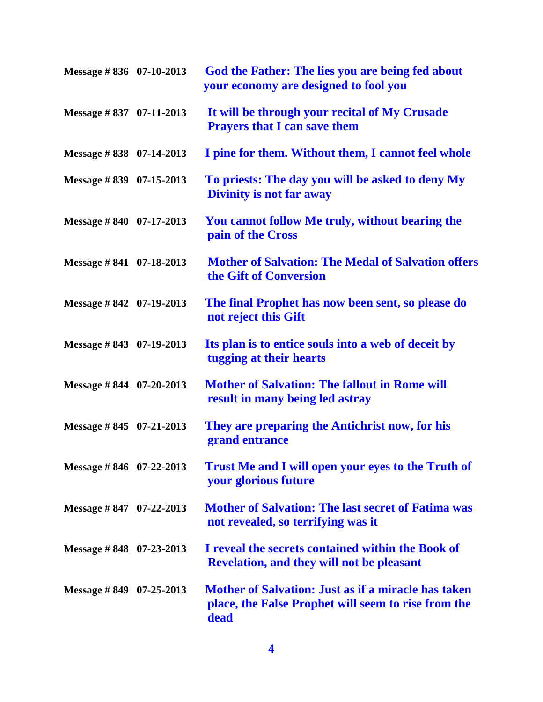| Message #836 07-10-2013           | God the Father: The lies you are being fed about<br>your economy are designed to fool you                                 |
|-----------------------------------|---------------------------------------------------------------------------------------------------------------------------|
| Message #837 07-11-2013           | It will be through your recital of My Crusade<br><b>Prayers that I can save them</b>                                      |
| Message #838 07-14-2013           | I pine for them. Without them, I cannot feel whole                                                                        |
| Message #839 07-15-2013           | To priests: The day you will be asked to deny My<br><b>Divinity is not far away</b>                                       |
| Message #840 07-17-2013           | You cannot follow Me truly, without bearing the<br>pain of the Cross                                                      |
| Message #841 07-18-2013           | <b>Mother of Salvation: The Medal of Salvation offers</b><br>the Gift of Conversion                                       |
| Message #842 07-19-2013           | The final Prophet has now been sent, so please do<br>not reject this Gift                                                 |
| Message #843 07-19-2013           | Its plan is to entice souls into a web of deceit by<br>tugging at their hearts                                            |
| Message $\# 844$ 07-20-2013       | <b>Mother of Salvation: The fallout in Rome will</b><br>result in many being led astray                                   |
| Message $\# 845 \quad 07-21-2013$ | They are preparing the Antichrist now, for his<br>grand entrance                                                          |
| Message #846 07-22-2013           | <b>Trust Me and I will open your eyes to the Truth of</b><br>your glorious future                                         |
| Message #847 $07-22-2013$         | <b>Mother of Salvation: The last secret of Fatima was</b><br>not revealed, so terrifying was it                           |
| Message # $848$ 07-23-2013        | I reveal the secrets contained within the Book of<br><b>Revelation, and they will not be pleasant</b>                     |
| Message # $849$ 07-25-2013        | <b>Mother of Salvation: Just as if a miracle has taken</b><br>place, the False Prophet will seem to rise from the<br>dead |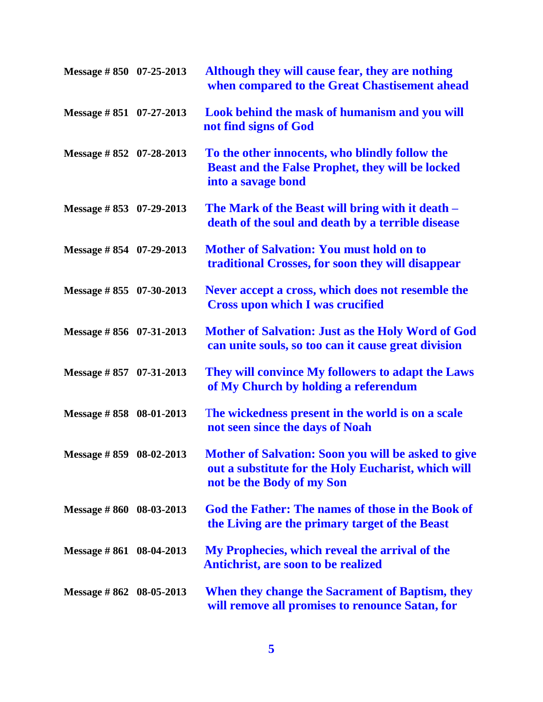| Message #850 07-25-2013     | Although they will cause fear, they are nothing<br>when compared to the Great Chastisement ahead                                        |
|-----------------------------|-----------------------------------------------------------------------------------------------------------------------------------------|
| Message #851 07-27-2013     | Look behind the mask of humanism and you will<br>not find signs of God                                                                  |
| Message #852 07-28-2013     | To the other innocents, who blindly follow the<br><b>Beast and the False Prophet, they will be locked</b><br>into a savage bond         |
| Message $\# 853$ 07-29-2013 | The Mark of the Beast will bring with it death –<br>death of the soul and death by a terrible disease                                   |
| Message #854 07-29-2013     | <b>Mother of Salvation: You must hold on to</b><br>traditional Crosses, for soon they will disappear                                    |
| Message #855 07-30-2013     | Never accept a cross, which does not resemble the<br><b>Cross upon which I was crucified</b>                                            |
| Message #856 07-31-2013     | Mother of Salvation: Just as the Holy Word of God<br>can unite souls, so too can it cause great division                                |
| Message #857 07-31-2013     | They will convince My followers to adapt the Laws<br>of My Church by holding a referendum                                               |
| Message #858 08-01-2013     | The wickedness present in the world is on a scale<br>not seen since the days of Noah                                                    |
| Message #859 08-02-2013     | Mother of Salvation: Soon you will be asked to give<br>out a substitute for the Holy Eucharist, which will<br>not be the Body of my Son |
| Message #860 08-03-2013     | God the Father: The names of those in the Book of<br>the Living are the primary target of the Beast                                     |
| Message $\# 861$ 08-04-2013 | My Prophecies, which reveal the arrival of the<br><b>Antichrist, are soon to be realized</b>                                            |
| Message #862 08-05-2013     | When they change the Sacrament of Baptism, they<br>will remove all promises to renounce Satan, for                                      |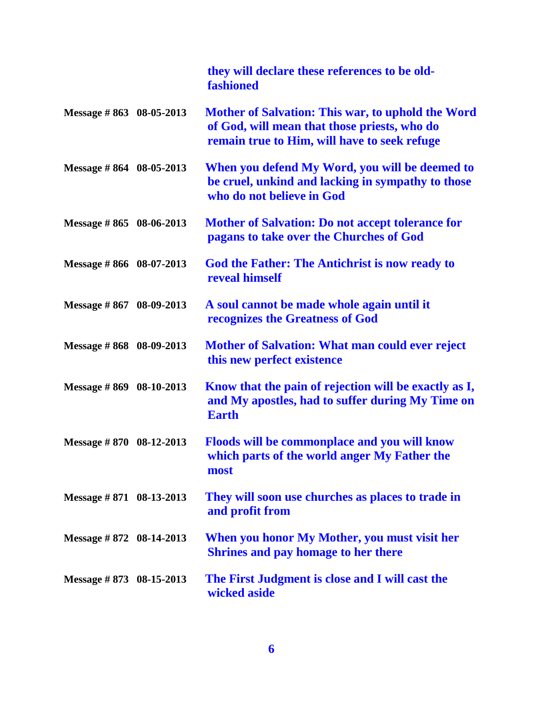|                                   | they will declare these references to be old-<br>fashioned                                                                                        |
|-----------------------------------|---------------------------------------------------------------------------------------------------------------------------------------------------|
| Message #863 08-05-2013           | Mother of Salvation: This war, to uphold the Word<br>of God, will mean that those priests, who do<br>remain true to Him, will have to seek refuge |
| Message $\# 864$ 08-05-2013       | When you defend My Word, you will be deemed to<br>be cruel, unkind and lacking in sympathy to those<br>who do not believe in God                  |
| Message #865 08-06-2013           | <b>Mother of Salvation: Do not accept tolerance for</b><br>pagans to take over the Churches of God                                                |
| Message #866 08-07-2013           | <b>God the Father: The Antichrist is now ready to</b><br>reveal himself                                                                           |
| Message #867 08-09-2013           | A soul cannot be made whole again until it<br>recognizes the Greatness of God                                                                     |
| Message #868 08-09-2013           | <b>Mother of Salvation: What man could ever reject</b><br>this new perfect existence                                                              |
| Message #869 08-10-2013           | Know that the pain of rejection will be exactly as I,<br>and My apostles, had to suffer during My Time on<br><b>Earth</b>                         |
| Message #870 08-12-2013           | <b>Floods will be commonplace and you will know</b><br>which parts of the world anger My Father the<br>most                                       |
| Message $\# 871$ 08-13-2013       | They will soon use churches as places to trade in<br>and profit from                                                                              |
| Message $\# 872 \quad 08-14-2013$ | When you honor My Mother, you must visit her<br><b>Shrines and pay homage to her there</b>                                                        |
| Message $\# 873$ 08-15-2013       | The First Judgment is close and I will cast the<br>wicked aside                                                                                   |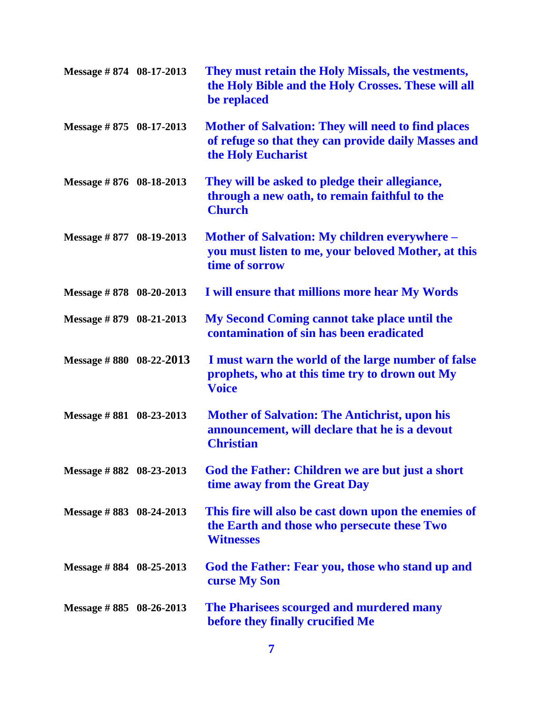| Message #874 08-17-2013           | They must retain the Holy Missals, the vestments,<br>the Holy Bible and the Holy Crosses. These will all<br>be replaced                |
|-----------------------------------|----------------------------------------------------------------------------------------------------------------------------------------|
| Message #875 08-17-2013           | <b>Mother of Salvation: They will need to find places</b><br>of refuge so that they can provide daily Masses and<br>the Holy Eucharist |
| Message #876 08-18-2013           | They will be asked to pledge their allegiance,<br>through a new oath, to remain faithful to the<br><b>Church</b>                       |
| Message #877 08-19-2013           | <b>Mother of Salvation: My children everywhere –</b><br>you must listen to me, your beloved Mother, at this<br>time of sorrow          |
| Message $\# 878$ 08-20-2013       | I will ensure that millions more hear My Words                                                                                         |
| Message #879 08-21-2013           | My Second Coming cannot take place until the<br>contamination of sin has been eradicated                                               |
| Message #880 08-22-2013           | I must warn the world of the large number of false<br>prophets, who at this time try to drown out My<br><b>Voice</b>                   |
| Message $\# 881 \quad 08-23-2013$ | <b>Mother of Salvation: The Antichrist, upon his</b><br>announcement, will declare that he is a devout<br><b>Christian</b>             |
| Message #882 08-23-2013           | God the Father: Children we are but just a short<br>time away from the Great Day                                                       |
| Message #883 08-24-2013           | This fire will also be cast down upon the enemies of<br>the Earth and those who persecute these Two<br><b>Witnesses</b>                |
| Message # $884$ 08-25-2013        | God the Father: Fear you, those who stand up and<br>curse My Son                                                                       |
| Message # $885$ 08-26-2013        | The Pharisees scourged and murdered many<br>before they finally crucified Me                                                           |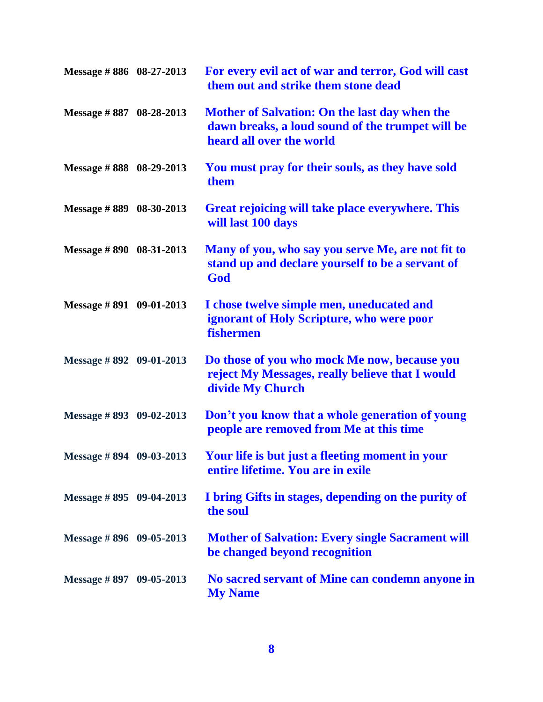| Message #886 08-27-2013     | For every evil act of war and terror, God will cast<br>them out and strike them stone dead                                    |
|-----------------------------|-------------------------------------------------------------------------------------------------------------------------------|
| Message #887 08-28-2013     | Mother of Salvation: On the last day when the<br>dawn breaks, a loud sound of the trumpet will be<br>heard all over the world |
| Message #888 08-29-2013     | You must pray for their souls, as they have sold<br>them                                                                      |
| Message #889 08-30-2013     | Great rejoicing will take place everywhere. This<br>will last 100 days                                                        |
| Message #890 08-31-2013     | Many of you, who say you serve Me, are not fit to<br>stand up and declare yourself to be a servant of<br>God                  |
| Message #891 09-01-2013     | I chose twelve simple men, uneducated and<br>ignorant of Holy Scripture, who were poor<br>fishermen                           |
| Message #892 09-01-2013     | Do those of you who mock Me now, because you<br>reject My Messages, really believe that I would<br>divide My Church           |
| Message #893 09-02-2013     | Don't you know that a whole generation of young<br>people are removed from Me at this time                                    |
| Message #894 09-03-2013     | Your life is but just a fleeting moment in your<br>entire lifetime. You are in exile                                          |
| Message $\# 895$ 09-04-2013 | I bring Gifts in stages, depending on the purity of<br>the soul                                                               |
| Message #896 09-05-2013     | <b>Mother of Salvation: Every single Sacrament will</b><br>be changed beyond recognition                                      |
| Message #897 09-05-2013     | No sacred servant of Mine can condemn anyone in<br><b>My Name</b>                                                             |